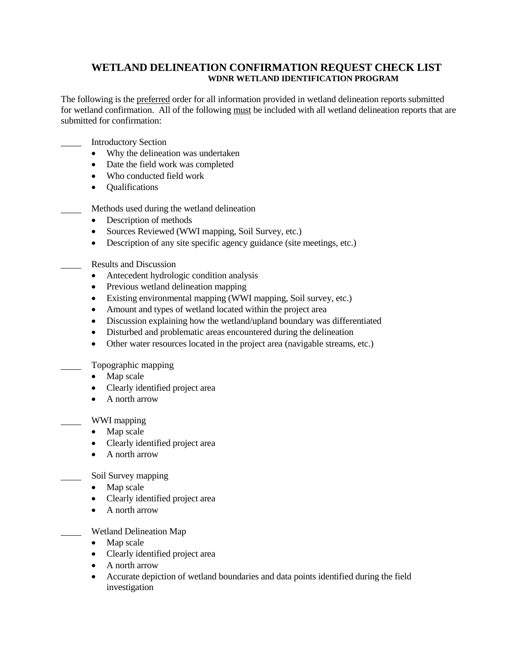# **WETLAND DELINEATION CONFIRMATION REQUEST CHECK LIST WDNR WETLAND IDENTIFICATION PROGRAM**

The following is the preferred order for all information provided in wetland delineation reports submitted for wetland confirmation. All of the following must be included with all wetland delineation reports that are submitted for confirmation:

Introductory Section

- Why the delineation was undertaken
- Date the field work was completed
- Who conducted field work
- Qualifications

Methods used during the wetland delineation

- Description of methods
- Sources Reviewed (WWI mapping, Soil Survey, etc.)
- Description of any site specific agency guidance (site meetings, etc.)

Results and Discussion

- Antecedent hydrologic condition analysis
- Previous wetland delineation mapping
- Existing environmental mapping (WWI mapping, Soil survey, etc.)
- Amount and types of wetland located within the project area
- Discussion explaining how the wetland/upland boundary was differentiated
- Disturbed and problematic areas encountered during the delineation
- Other water resources located in the project area (navigable streams, etc.)

## Topographic mapping

- Map scale
- Clearly identified project area
- A north arrow

## WWI mapping

- Map scale
- Clearly identified project area
- A north arrow

## Soil Survey mapping

- Map scale
- Clearly identified project area
- A north arrow

## Wetland Delineation Map

- Map scale
- Clearly identified project area
- A north arrow
- Accurate depiction of wetland boundaries and data points identified during the field investigation